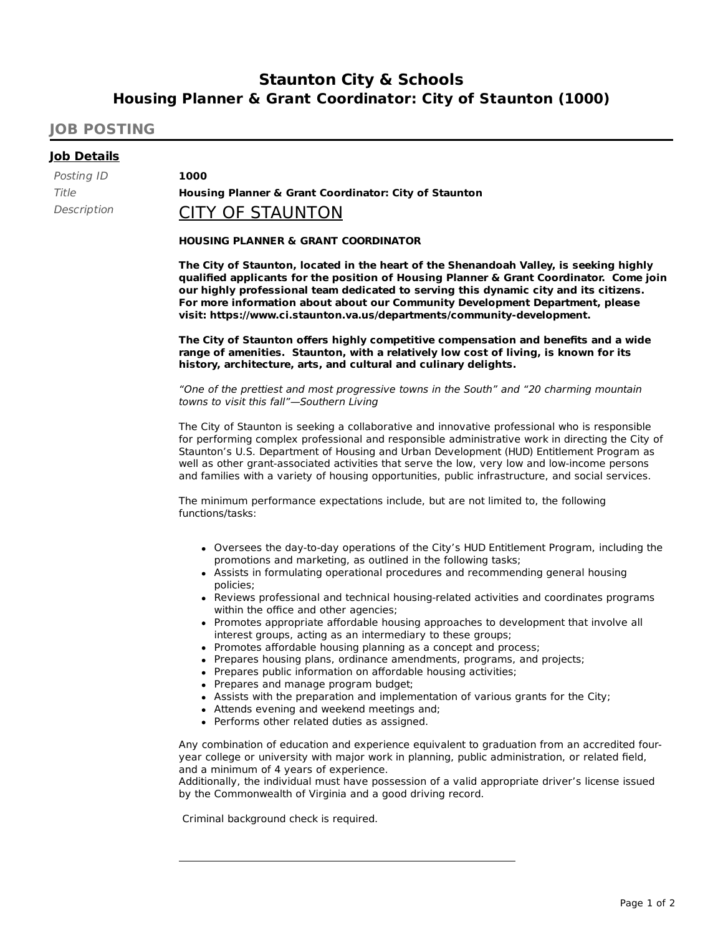# **Staunton City & Schools Housing Planner & Grant Coordinator: City of Staunton (1000)**

# **JOB POSTING**

## **Job Details**

Posting ID **1000**

Title **Housing Planner & Grant Coordinator: City of Staunton**

# Description **CITY OF STAUNTON**

### **HOUSING PLANNER & GRANT COORDINATOR**

**The City of Staunton, located in the heart of the Shenandoah Valley, is seeking highly qualified applicants for the position of Housing Planner & Grant Coordinator. Come join our highly professional team dedicated to serving this dynamic city and its citizens. For more information about about our Community Development Department, please visit: https://www.ci.staunton.va.us/departments/community-development.**

**The City of Staunton offers highly competitive compensation and benefits and a wide range of amenities. Staunton, with a relatively low cost of living, is known for its history, architecture, arts, and cultural and culinary delights.**

"One of the prettiest and most progressive towns in the South" and "20 charming mountain towns to visit this fall"—Southern Living

The City of Staunton is seeking a collaborative and innovative professional who is responsible for performing complex professional and responsible administrative work in directing the City of Staunton's U.S. Department of Housing and Urban Development (HUD) Entitlement Program as well as other grant-associated activities that serve the low, very low and low-income persons and families with a variety of housing opportunities, public infrastructure, and social services.

The minimum performance expectations include, but are not limited to, the following functions/tasks:

- Oversees the day-to-day operations of the City's HUD Entitlement Program, including the promotions and marketing, as outlined in the following tasks;
- Assists in formulating operational procedures and recommending general housing policies;
- Reviews professional and technical housing-related activities and coordinates programs within the office and other agencies;
- Promotes appropriate affordable housing approaches to development that involve all interest groups, acting as an intermediary to these groups;
- Promotes affordable housing planning as a concept and process;
- Prepares housing plans, ordinance amendments, programs, and projects;
- Prepares public information on affordable housing activities;
- Prepares and manage program budget;
- Assists with the preparation and implementation of various grants for the City;
- Attends evening and weekend meetings and;
- Performs other related duties as assigned.

Any combination of education and experience equivalent to graduation from an accredited fouryear college or university with major work in planning, public administration, or related field, and a minimum of 4 years of experience.

Additionally, the individual must have possession of a valid appropriate driver's license issued by the Commonwealth of Virginia and a good driving record.

Criminal background check is required.